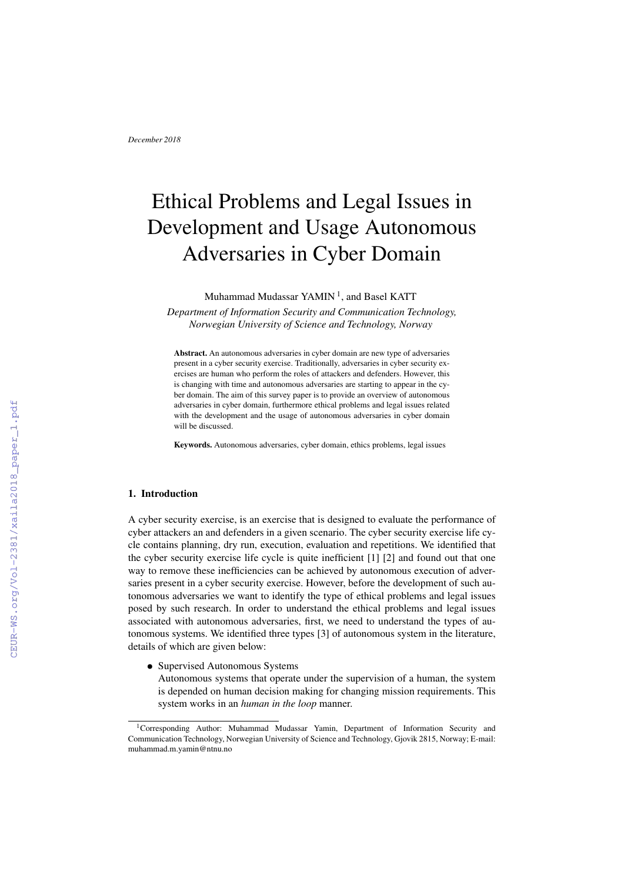# Ethical Problems and Legal Issues in Development and Usage Autonomous Adversaries in Cyber Domain

Muhammad Mudassar  $\text{YAMIN}^1,$  and Basel <code>KATT</code>

*Department of Information Security and Communication Technology, Norwegian University of Science and Technology, Norway*

Abstract. An autonomous adversaries in cyber domain are new type of adversaries present in a cyber security exercise. Traditionally, adversaries in cyber security exercises are human who perform the roles of attackers and defenders. However, this is changing with time and autonomous adversaries are starting to appear in the cyber domain. The aim of this survey paper is to provide an overview of autonomous adversaries in cyber domain, furthermore ethical problems and legal issues related with the development and the usage of autonomous adversaries in cyber domain will be discussed.

Keywords. Autonomous adversaries, cyber domain, ethics problems, legal issues

## 1. Introduction

A cyber security exercise, is an exercise that is designed to evaluate the performance of cyber attackers an and defenders in a given scenario. The cyber security exercise life cycle contains planning, dry run, execution, evaluation and repetitions. We identified that the cyber security exercise life cycle is quite inefficient [1] [2] and found out that one way to remove these inefficiencies can be achieved by autonomous execution of adversaries present in a cyber security exercise. However, before the development of such autonomous adversaries we want to identify the type of ethical problems and legal issues posed by such research. In order to understand the ethical problems and legal issues associated with autonomous adversaries, first, we need to understand the types of autonomous systems. We identified three types [3] of autonomous system in the literature, details of which are given below:

• Supervised Autonomous Systems

Autonomous systems that operate under the supervision of a human, the system is depended on human decision making for changing mission requirements. This system works in an *human in the loop* manner.

<sup>&</sup>lt;sup>1</sup>Corresponding Author: Muhammad Mudassar Yamin, Department of Information Security and Communication Technology, Norwegian University of Science and Technology, Gjovik 2815, Norway; E-mail: muhammad.m.yamin@ntnu.no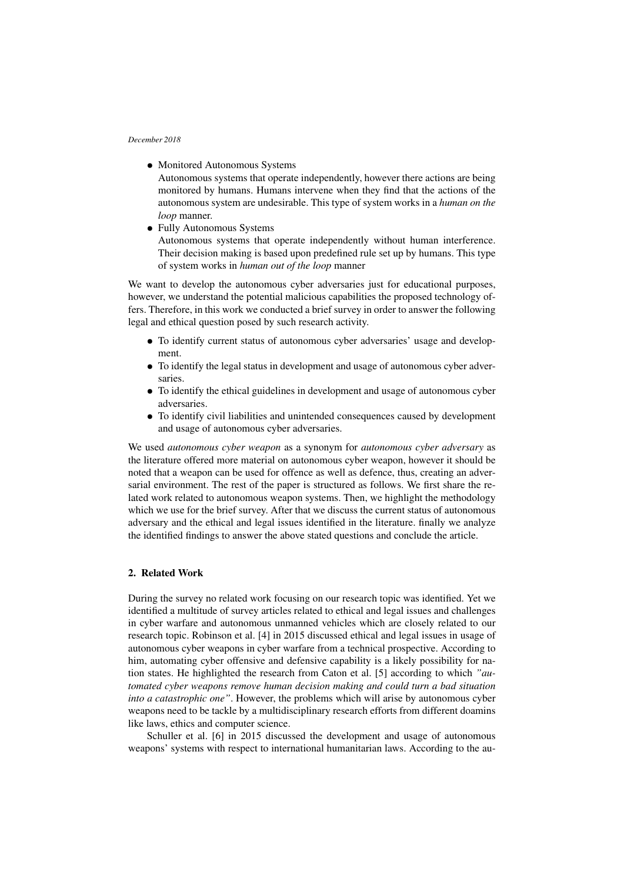- Monitored Autonomous Systems Autonomous systems that operate independently, however there actions are being monitored by humans. Humans intervene when they find that the actions of the autonomous system are undesirable. This type of system works in a *human on the loop* manner.
- Fully Autonomous Systems

Autonomous systems that operate independently without human interference. Their decision making is based upon predefined rule set up by humans. This type of system works in *human out of the loop* manner

We want to develop the autonomous cyber adversaries just for educational purposes, however, we understand the potential malicious capabilities the proposed technology offers. Therefore, in this work we conducted a brief survey in order to answer the following legal and ethical question posed by such research activity.

- To identify current status of autonomous cyber adversaries' usage and development.
- To identify the legal status in development and usage of autonomous cyber adversaries.
- To identify the ethical guidelines in development and usage of autonomous cyber adversaries.
- To identify civil liabilities and unintended consequences caused by development and usage of autonomous cyber adversaries.

We used *autonomous cyber weapon* as a synonym for *autonomous cyber adversary* as the literature offered more material on autonomous cyber weapon, however it should be noted that a weapon can be used for offence as well as defence, thus, creating an adversarial environment. The rest of the paper is structured as follows. We first share the related work related to autonomous weapon systems. Then, we highlight the methodology which we use for the brief survey. After that we discuss the current status of autonomous adversary and the ethical and legal issues identified in the literature. finally we analyze the identified findings to answer the above stated questions and conclude the article.

## 2. Related Work

During the survey no related work focusing on our research topic was identified. Yet we identified a multitude of survey articles related to ethical and legal issues and challenges in cyber warfare and autonomous unmanned vehicles which are closely related to our research topic. Robinson et al. [4] in 2015 discussed ethical and legal issues in usage of autonomous cyber weapons in cyber warfare from a technical prospective. According to him, automating cyber offensive and defensive capability is a likely possibility for nation states. He highlighted the research from Caton et al. [5] according to which *"automated cyber weapons remove human decision making and could turn a bad situation into a catastrophic one"*. However, the problems which will arise by autonomous cyber weapons need to be tackle by a multidisciplinary research efforts from different doamins like laws, ethics and computer science.

Schuller et al. [6] in 2015 discussed the development and usage of autonomous weapons' systems with respect to international humanitarian laws. According to the au-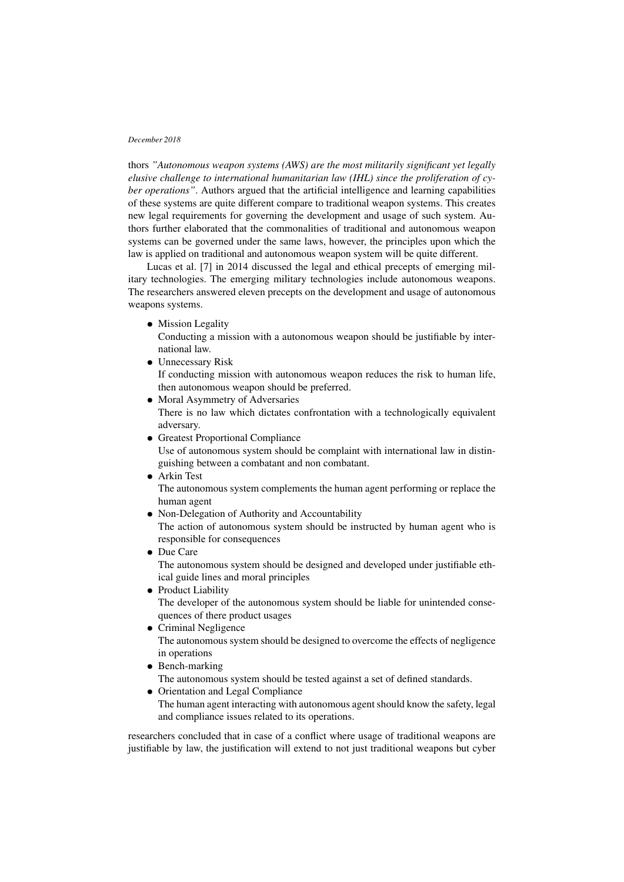thors *"Autonomous weapon systems (AWS) are the most militarily significant yet legally elusive challenge to international humanitarian law (IHL) since the proliferation of cyber operations"*. Authors argued that the artificial intelligence and learning capabilities of these systems are quite different compare to traditional weapon systems. This creates new legal requirements for governing the development and usage of such system. Authors further elaborated that the commonalities of traditional and autonomous weapon systems can be governed under the same laws, however, the principles upon which the law is applied on traditional and autonomous weapon system will be quite different.

Lucas et al. [7] in 2014 discussed the legal and ethical precepts of emerging military technologies. The emerging military technologies include autonomous weapons. The researchers answered eleven precepts on the development and usage of autonomous weapons systems.

• Mission Legality

Conducting a mission with a autonomous weapon should be justifiable by international law.

- Unnecessary Risk If conducting mission with autonomous weapon reduces the risk to human life, then autonomous weapon should be preferred.
- Moral Asymmetry of Adversaries There is no law which dictates confrontation with a technologically equivalent adversary.
- Greatest Proportional Compliance

Use of autonomous system should be complaint with international law in distinguishing between a combatant and non combatant.

• Arkin Test

The autonomous system complements the human agent performing or replace the human agent

• Non-Delegation of Authority and Accountability

The action of autonomous system should be instructed by human agent who is responsible for consequences

- Due Care The autonomous system should be designed and developed under justifiable ethical guide lines and moral principles
- Product Liability The developer of the autonomous system should be liable for unintended consequences of there product usages
- Criminal Negligence The autonomous system should be designed to overcome the effects of negligence in operations
- Bench-marking
- The autonomous system should be tested against a set of defined standards.
- Orientation and Legal Compliance

The human agent interacting with autonomous agent should know the safety, legal and compliance issues related to its operations.

researchers concluded that in case of a conflict where usage of traditional weapons are justifiable by law, the justification will extend to not just traditional weapons but cyber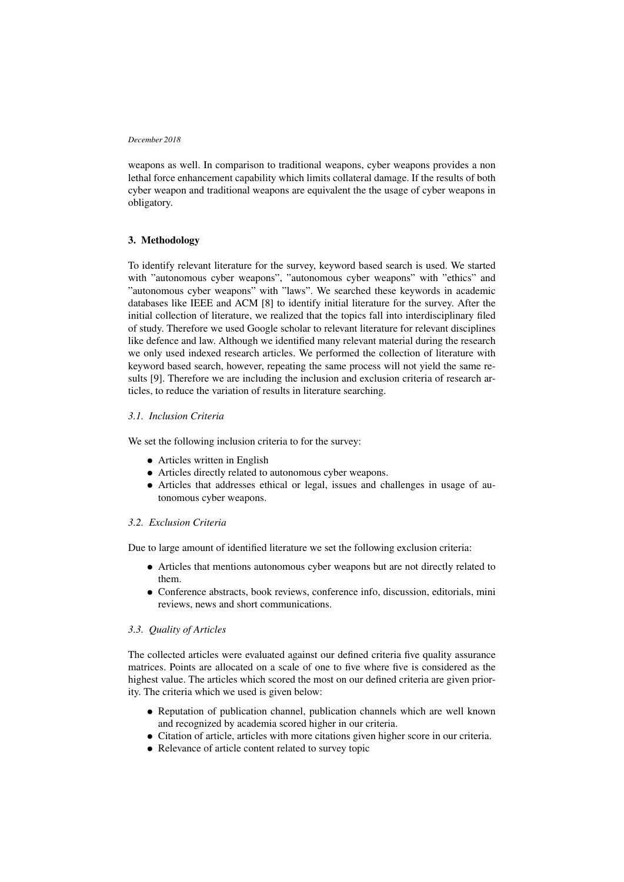weapons as well. In comparison to traditional weapons, cyber weapons provides a non lethal force enhancement capability which limits collateral damage. If the results of both cyber weapon and traditional weapons are equivalent the the usage of cyber weapons in obligatory.

## 3. Methodology

To identify relevant literature for the survey, keyword based search is used. We started with "autonomous cyber weapons", "autonomous cyber weapons" with "ethics" and "autonomous cyber weapons" with "laws". We searched these keywords in academic databases like IEEE and ACM [8] to identify initial literature for the survey. After the initial collection of literature, we realized that the topics fall into interdisciplinary filed of study. Therefore we used Google scholar to relevant literature for relevant disciplines like defence and law. Although we identified many relevant material during the research we only used indexed research articles. We performed the collection of literature with keyword based search, however, repeating the same process will not yield the same results [9]. Therefore we are including the inclusion and exclusion criteria of research articles, to reduce the variation of results in literature searching.

# *3.1. Inclusion Criteria*

We set the following inclusion criteria to for the survey:

- Articles written in English
- Articles directly related to autonomous cyber weapons.
- Articles that addresses ethical or legal, issues and challenges in usage of autonomous cyber weapons.

## *3.2. Exclusion Criteria*

Due to large amount of identified literature we set the following exclusion criteria:

- Articles that mentions autonomous cyber weapons but are not directly related to them.
- Conference abstracts, book reviews, conference info, discussion, editorials, mini reviews, news and short communications.

## *3.3. Quality of Articles*

The collected articles were evaluated against our defined criteria five quality assurance matrices. Points are allocated on a scale of one to five where five is considered as the highest value. The articles which scored the most on our defined criteria are given priority. The criteria which we used is given below:

- Reputation of publication channel, publication channels which are well known and recognized by academia scored higher in our criteria.
- Citation of article, articles with more citations given higher score in our criteria.
- Relevance of article content related to survey topic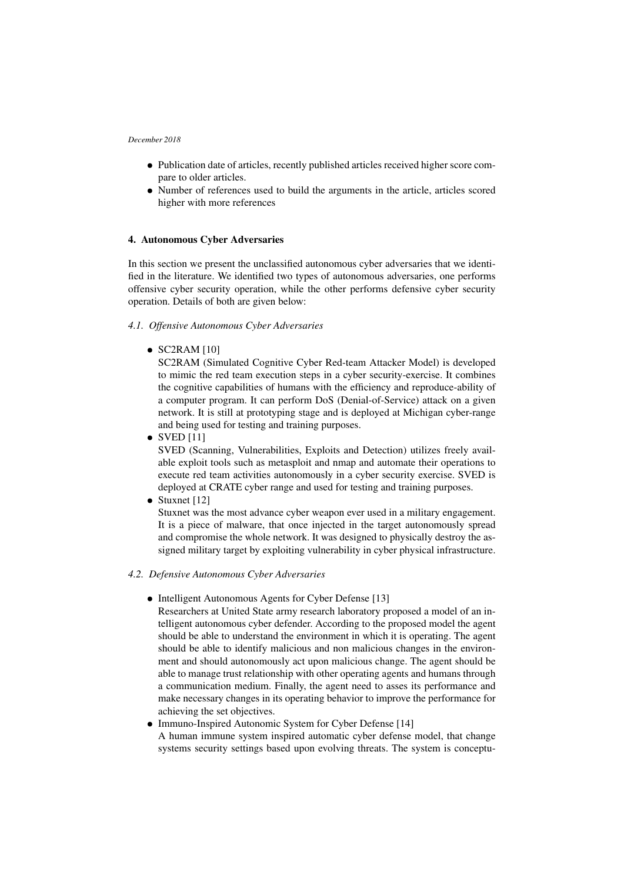- Publication date of articles, recently published articles received higher score compare to older articles.
- Number of references used to build the arguments in the article, articles scored higher with more references

# 4. Autonomous Cyber Adversaries

In this section we present the unclassified autonomous cyber adversaries that we identified in the literature. We identified two types of autonomous adversaries, one performs offensive cyber security operation, while the other performs defensive cyber security operation. Details of both are given below:

## *4.1. Offensive Autonomous Cyber Adversaries*

 $\bullet$  SC2RAM [10]

SC2RAM (Simulated Cognitive Cyber Red-team Attacker Model) is developed to mimic the red team execution steps in a cyber security-exercise. It combines the cognitive capabilities of humans with the efficiency and reproduce-ability of a computer program. It can perform DoS (Denial-of-Service) attack on a given network. It is still at prototyping stage and is deployed at Michigan cyber-range and being used for testing and training purposes.

 $\bullet$  SVED [11]

SVED (Scanning, Vulnerabilities, Exploits and Detection) utilizes freely available exploit tools such as metasploit and nmap and automate their operations to execute red team activities autonomously in a cyber security exercise. SVED is deployed at CRATE cyber range and used for testing and training purposes.

• Stuxnet [12]

Stuxnet was the most advance cyber weapon ever used in a military engagement. It is a piece of malware, that once injected in the target autonomously spread and compromise the whole network. It was designed to physically destroy the assigned military target by exploiting vulnerability in cyber physical infrastructure.

## *4.2. Defensive Autonomous Cyber Adversaries*

- Intelligent Autonomous Agents for Cyber Defense [13]
- Researchers at United State army research laboratory proposed a model of an intelligent autonomous cyber defender. According to the proposed model the agent should be able to understand the environment in which it is operating. The agent should be able to identify malicious and non malicious changes in the environment and should autonomously act upon malicious change. The agent should be able to manage trust relationship with other operating agents and humans through a communication medium. Finally, the agent need to asses its performance and make necessary changes in its operating behavior to improve the performance for achieving the set objectives.
- Immuno-Inspired Autonomic System for Cyber Defense [14] A human immune system inspired automatic cyber defense model, that change systems security settings based upon evolving threats. The system is conceptu-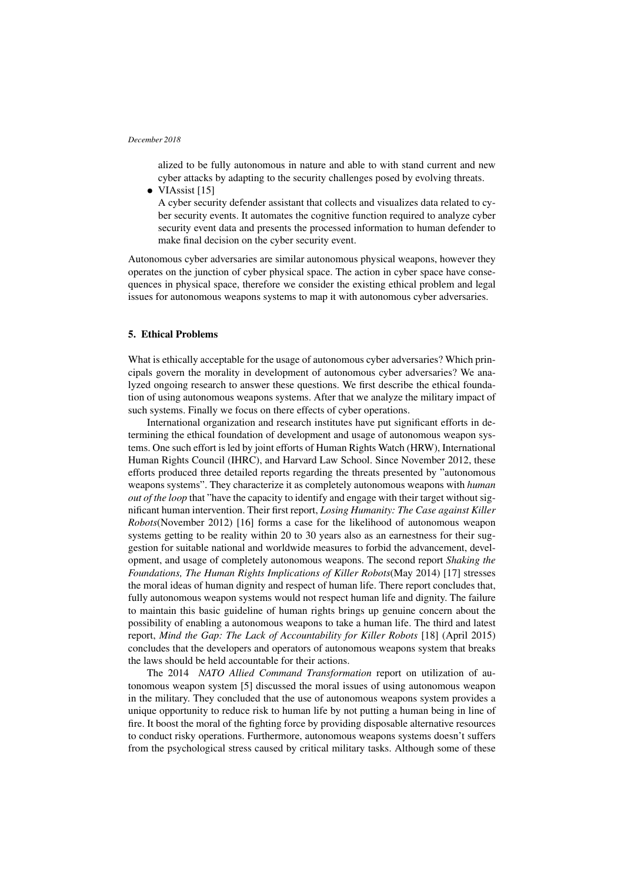alized to be fully autonomous in nature and able to with stand current and new cyber attacks by adapting to the security challenges posed by evolving threats.

• VIAssist [15]

A cyber security defender assistant that collects and visualizes data related to cyber security events. It automates the cognitive function required to analyze cyber security event data and presents the processed information to human defender to make final decision on the cyber security event.

Autonomous cyber adversaries are similar autonomous physical weapons, however they operates on the junction of cyber physical space. The action in cyber space have consequences in physical space, therefore we consider the existing ethical problem and legal issues for autonomous weapons systems to map it with autonomous cyber adversaries.

## 5. Ethical Problems

What is ethically acceptable for the usage of autonomous cyber adversaries? Which principals govern the morality in development of autonomous cyber adversaries? We analyzed ongoing research to answer these questions. We first describe the ethical foundation of using autonomous weapons systems. After that we analyze the military impact of such systems. Finally we focus on there effects of cyber operations.

International organization and research institutes have put significant efforts in determining the ethical foundation of development and usage of autonomous weapon systems. One such effort is led by joint efforts of Human Rights Watch (HRW), International Human Rights Council (IHRC), and Harvard Law School. Since November 2012, these efforts produced three detailed reports regarding the threats presented by "autonomous weapons systems". They characterize it as completely autonomous weapons with *human out of the loop* that "have the capacity to identify and engage with their target without significant human intervention. Their first report, *Losing Humanity: The Case against Killer Robots*(November 2012) [16] forms a case for the likelihood of autonomous weapon systems getting to be reality within 20 to 30 years also as an earnestness for their suggestion for suitable national and worldwide measures to forbid the advancement, development, and usage of completely autonomous weapons. The second report *Shaking the Foundations, The Human Rights Implications of Killer Robots*(May 2014) [17] stresses the moral ideas of human dignity and respect of human life. There report concludes that, fully autonomous weapon systems would not respect human life and dignity. The failure to maintain this basic guideline of human rights brings up genuine concern about the possibility of enabling a autonomous weapons to take a human life. The third and latest report, *Mind the Gap: The Lack of Accountability for Killer Robots* [18] (April 2015) concludes that the developers and operators of autonomous weapons system that breaks the laws should be held accountable for their actions.

The 2014 *NATO Allied Command Transformation* report on utilization of autonomous weapon system [5] discussed the moral issues of using autonomous weapon in the military. They concluded that the use of autonomous weapons system provides a unique opportunity to reduce risk to human life by not putting a human being in line of fire. It boost the moral of the fighting force by providing disposable alternative resources to conduct risky operations. Furthermore, autonomous weapons systems doesn't suffers from the psychological stress caused by critical military tasks. Although some of these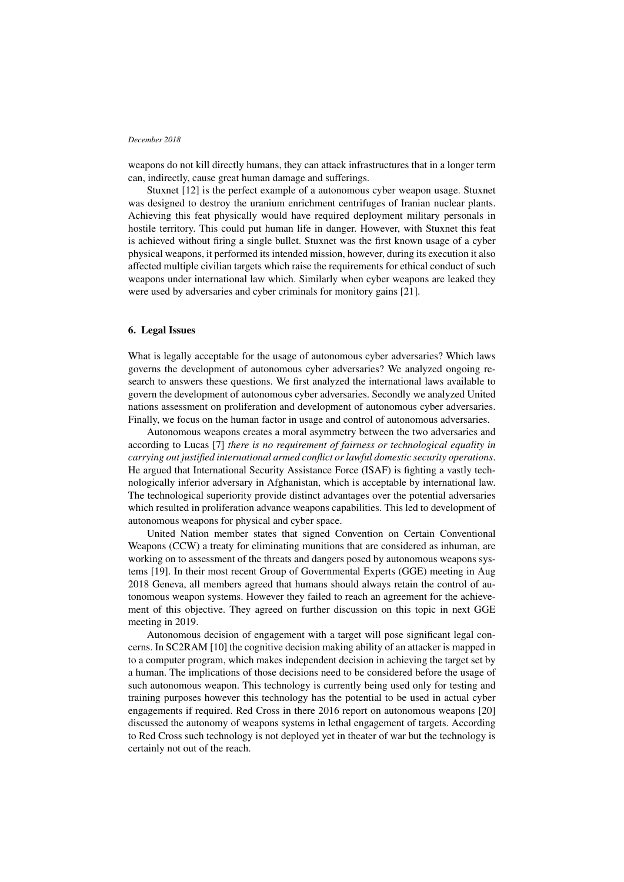weapons do not kill directly humans, they can attack infrastructures that in a longer term can, indirectly, cause great human damage and sufferings.

Stuxnet [12] is the perfect example of a autonomous cyber weapon usage. Stuxnet was designed to destroy the uranium enrichment centrifuges of Iranian nuclear plants. Achieving this feat physically would have required deployment military personals in hostile territory. This could put human life in danger. However, with Stuxnet this feat is achieved without firing a single bullet. Stuxnet was the first known usage of a cyber physical weapons, it performed its intended mission, however, during its execution it also affected multiple civilian targets which raise the requirements for ethical conduct of such weapons under international law which. Similarly when cyber weapons are leaked they were used by adversaries and cyber criminals for monitory gains [21].

## 6. Legal Issues

What is legally acceptable for the usage of autonomous cyber adversaries? Which laws governs the development of autonomous cyber adversaries? We analyzed ongoing research to answers these questions. We first analyzed the international laws available to govern the development of autonomous cyber adversaries. Secondly we analyzed United nations assessment on proliferation and development of autonomous cyber adversaries. Finally, we focus on the human factor in usage and control of autonomous adversaries.

Autonomous weapons creates a moral asymmetry between the two adversaries and according to Lucas [7] *there is no requirement of fairness or technological equality in carrying out justified international armed conflict or lawful domestic security operations*. He argued that International Security Assistance Force (ISAF) is fighting a vastly technologically inferior adversary in Afghanistan, which is acceptable by international law. The technological superiority provide distinct advantages over the potential adversaries which resulted in proliferation advance weapons capabilities. This led to development of autonomous weapons for physical and cyber space.

United Nation member states that signed Convention on Certain Conventional Weapons (CCW) a treaty for eliminating munitions that are considered as inhuman, are working on to assessment of the threats and dangers posed by autonomous weapons systems [19]. In their most recent Group of Governmental Experts (GGE) meeting in Aug 2018 Geneva, all members agreed that humans should always retain the control of autonomous weapon systems. However they failed to reach an agreement for the achievement of this objective. They agreed on further discussion on this topic in next GGE meeting in 2019.

Autonomous decision of engagement with a target will pose significant legal concerns. In SC2RAM [10] the cognitive decision making ability of an attacker is mapped in to a computer program, which makes independent decision in achieving the target set by a human. The implications of those decisions need to be considered before the usage of such autonomous weapon. This technology is currently being used only for testing and training purposes however this technology has the potential to be used in actual cyber engagements if required. Red Cross in there 2016 report on autonomous weapons [20] discussed the autonomy of weapons systems in lethal engagement of targets. According to Red Cross such technology is not deployed yet in theater of war but the technology is certainly not out of the reach.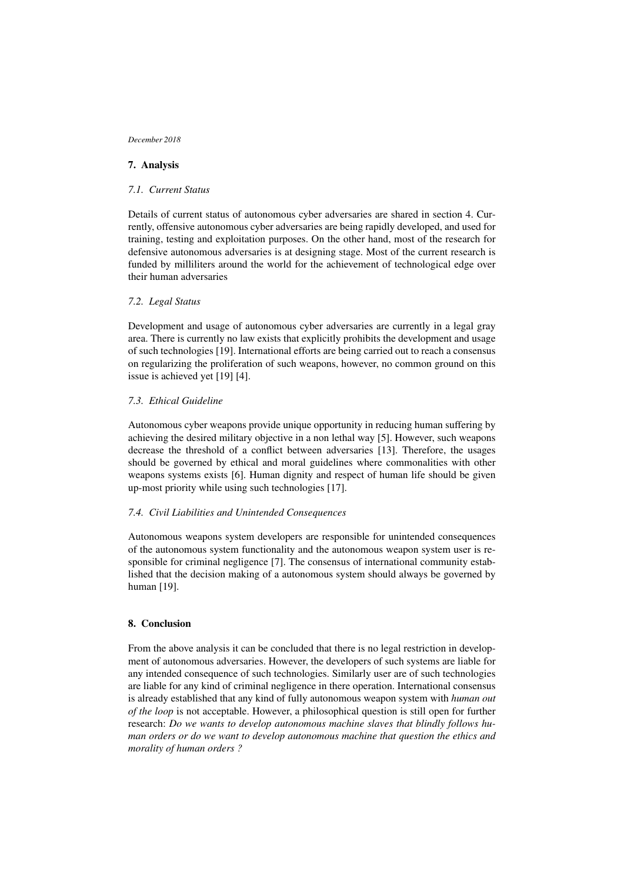# 7. Analysis

## *7.1. Current Status*

Details of current status of autonomous cyber adversaries are shared in section 4. Currently, offensive autonomous cyber adversaries are being rapidly developed, and used for training, testing and exploitation purposes. On the other hand, most of the research for defensive autonomous adversaries is at designing stage. Most of the current research is funded by milliliters around the world for the achievement of technological edge over their human adversaries

## *7.2. Legal Status*

Development and usage of autonomous cyber adversaries are currently in a legal gray area. There is currently no law exists that explicitly prohibits the development and usage of such technologies [19]. International efforts are being carried out to reach a consensus on regularizing the proliferation of such weapons, however, no common ground on this issue is achieved yet [19] [4].

## *7.3. Ethical Guideline*

Autonomous cyber weapons provide unique opportunity in reducing human suffering by achieving the desired military objective in a non lethal way [5]. However, such weapons decrease the threshold of a conflict between adversaries [13]. Therefore, the usages should be governed by ethical and moral guidelines where commonalities with other weapons systems exists [6]. Human dignity and respect of human life should be given up-most priority while using such technologies [17].

## *7.4. Civil Liabilities and Unintended Consequences*

Autonomous weapons system developers are responsible for unintended consequences of the autonomous system functionality and the autonomous weapon system user is responsible for criminal negligence [7]. The consensus of international community established that the decision making of a autonomous system should always be governed by human [19].

# 8. Conclusion

From the above analysis it can be concluded that there is no legal restriction in development of autonomous adversaries. However, the developers of such systems are liable for any intended consequence of such technologies. Similarly user are of such technologies are liable for any kind of criminal negligence in there operation. International consensus is already established that any kind of fully autonomous weapon system with *human out of the loop* is not acceptable. However, a philosophical question is still open for further research: *Do we wants to develop autonomous machine slaves that blindly follows human orders or do we want to develop autonomous machine that question the ethics and morality of human orders ?*